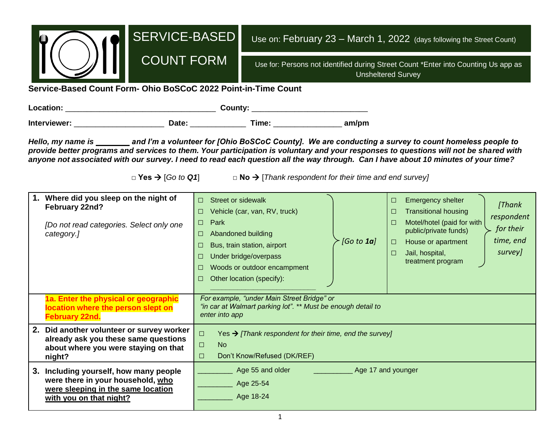| <b>SERVICE-BASED</b><br><b>COUNT FORM</b><br>Service-Based Count Form- Ohio BoSCoC 2022 Point-in-Time Count                                                                                                                                                                                                                                                                                                   |                                                                                                                                                                                                                                                  |            | Use on: February 23 - March 1, 2022 (days following the Street Count)<br>Use for: Persons not identified during Street Count *Enter into Counting Us app as<br><b>Unsheltered Survey</b>                                                                                                    |  |  |
|---------------------------------------------------------------------------------------------------------------------------------------------------------------------------------------------------------------------------------------------------------------------------------------------------------------------------------------------------------------------------------------------------------------|--------------------------------------------------------------------------------------------------------------------------------------------------------------------------------------------------------------------------------------------------|------------|---------------------------------------------------------------------------------------------------------------------------------------------------------------------------------------------------------------------------------------------------------------------------------------------|--|--|
|                                                                                                                                                                                                                                                                                                                                                                                                               |                                                                                                                                                                                                                                                  |            |                                                                                                                                                                                                                                                                                             |  |  |
|                                                                                                                                                                                                                                                                                                                                                                                                               |                                                                                                                                                                                                                                                  |            |                                                                                                                                                                                                                                                                                             |  |  |
| Hello, my name is _______ and I'm a volunteer for [Ohio BoSCoC County]. We are conducting a survey to count homeless people to<br>provide better programs and services to them. Your participation is voluntary and your responses to questions will not be shared with<br>anyone not associated with our survey. I need to read each question all the way through. Can I have about 10 minutes of your time? | $\Box$ Yes $\rightarrow$ [Go to Q1] $\Box$ No $\rightarrow$ [Thank respondent for their time and end survey]                                                                                                                                     |            |                                                                                                                                                                                                                                                                                             |  |  |
| 1. Where did you sleep on the night of<br>February 22nd?<br>[Do not read categories. Select only one<br>category.]                                                                                                                                                                                                                                                                                            | <b>Street or sidewalk</b><br>П.<br>Vehicle (car, van, RV, truck)<br>Park<br>$\Box$<br>Abandoned building<br>Bus, train station, airport<br>$\Box$<br>Under bridge/overpass<br>⊔<br>Woods or outdoor encampment<br>ш<br>Other location (specify): | [Go to 1a] | <b>Emergency shelter</b><br>$\Box$<br>[Thank<br><b>Transitional housing</b><br>$\Box$<br>respondent<br>Motel/hotel (paid for with<br>$\Box$<br>for their<br>public/private funds)<br>time, end<br>House or apartment<br>$\Box$<br>survey]<br>Jail, hospital,<br>$\Box$<br>treatment program |  |  |
| 1a. Enter the physical or geographic<br>location where the person slept on<br><b>February 22nd.</b>                                                                                                                                                                                                                                                                                                           | For example, "under Main Street Bridge" or<br>"in car at Walmart parking lot". ** Must be enough detail to<br>enter into app                                                                                                                     |            |                                                                                                                                                                                                                                                                                             |  |  |
| 2. Did another volunteer or survey worker<br>already ask you these same questions<br>about where you were staying on that<br>night?                                                                                                                                                                                                                                                                           | $\Box$ Yes $\rightarrow$ [Thank respondent for their time, end the survey]<br><b>No</b><br>$\Box$<br>Don't Know/Refused (DK/REF)<br>$\Box$                                                                                                       |            |                                                                                                                                                                                                                                                                                             |  |  |
| 3. Including yourself, how many people<br>were there in your household, who<br>were sleeping in the same location<br>with you on that night?                                                                                                                                                                                                                                                                  | Age 55 and older<br>Age 25-54<br>Age 18-24                                                                                                                                                                                                       |            | Age 17 and younger                                                                                                                                                                                                                                                                          |  |  |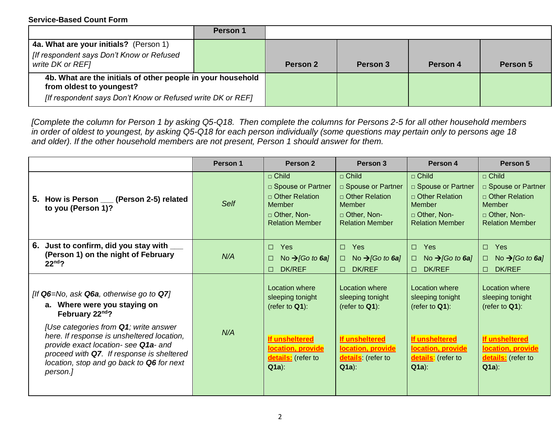|                                                                                                                                                       | Person 1 |          |          |          |          |
|-------------------------------------------------------------------------------------------------------------------------------------------------------|----------|----------|----------|----------|----------|
| 4a. What are your initials? (Person 1)                                                                                                                |          |          |          |          |          |
| [If respondent says Don't Know or Refused                                                                                                             |          |          |          |          |          |
| write DK or REF]                                                                                                                                      |          | Person 2 | Person 3 | Person 4 | Person 5 |
| 4b. What are the initials of other people in your household<br>from oldest to youngest?<br>[If respondent says Don't Know or Refused write DK or REF] |          |          |          |          |          |

*[Complete the column for Person 1 by asking Q5-Q18. Then complete the columns for Persons 2-5 for all other household members in order of oldest to youngest, by asking Q5-Q18 for each person individually (some questions may pertain only to persons age 18 and older). If the other household members are not present, Person 1 should answer for them.* 

|                                                                                                                                                                                                                                                                                                                                           | Person 1    | Person 2                                                                                                                        | Person 3                                                                                                                       | Person 4                                                                                                                               | Person 5                                                                                                                               |
|-------------------------------------------------------------------------------------------------------------------------------------------------------------------------------------------------------------------------------------------------------------------------------------------------------------------------------------------|-------------|---------------------------------------------------------------------------------------------------------------------------------|--------------------------------------------------------------------------------------------------------------------------------|----------------------------------------------------------------------------------------------------------------------------------------|----------------------------------------------------------------------------------------------------------------------------------------|
| 5. How is Person __ (Person 2-5) related<br>to you (Person 1)?                                                                                                                                                                                                                                                                            | <b>Self</b> | □ Child<br>□ Spouse or Partner<br>$\Box$ Other Relation<br><b>Member</b><br>□ Other, Non-<br><b>Relation Member</b>             | $\Box$ Child<br>□ Spouse or Partner<br>$\Box$ Other Relation<br>Member<br>D Other, Non-<br><b>Relation Member</b>              | □ Child<br>□ Spouse or Partner<br>$\Box$ Other Relation<br><b>Member</b><br>D Other, Non-<br><b>Relation Member</b>                    | $\Box$ Child<br>□ Spouse or Partner<br>$\Box$ Other Relation<br>Member<br>□ Other, Non-<br><b>Relation Member</b>                      |
| 6. Just to confirm, did you stay with ___<br>(Person 1) on the night of February<br>$22nd$ ?                                                                                                                                                                                                                                              | N/A         | Yes<br>$\Box$<br>No $\rightarrow$ [Go to 6a]<br>□<br><b>DK/REF</b><br>$\Box$                                                    | Yes<br>$\Box$<br>No $\rightarrow$ [Go to 6a]<br>$\Box$<br><b>DK/REF</b><br>$\Box$                                              | $\Box$<br>Yes<br>No $\rightarrow$ [Go to 6a]<br>$\Box$<br><b>DK/REF</b><br>П.                                                          | Yes<br>$\Box$<br>No $\rightarrow$ [Go to 6a]<br>□<br>DK/REF<br>$\Box$                                                                  |
| [If $Q6 = No$ , ask $Q6a$ , otherwise go to $Q7$ ]<br>a. Where were you staying on<br>February 22nd?<br>[Use categories from Q1; write answer<br>here. If response is unsheltered location,<br>provide exact location- see Q1a- and<br>proceed with Q7. If response is sheltered<br>location, stop and go back to Q6 for next<br>person.] | N/A         | Location where<br>sleeping tonight<br>(refer to $Q1$ ):<br>If unsheltered<br>location, provide<br>details: (refer to<br>$Q1a$ : | Location where<br>sleeping tonight<br>(refer to $Q1$ ):<br>If unsheltered<br>location, provide<br>details (refer to<br>$Q1a$ : | Location where<br>sleeping tonight<br>(refer to $Q1$ ):<br><b>If unsheltered</b><br>location, provide<br>details: (refer to<br>$Q1a$ : | Location where<br>sleeping tonight<br>(refer to $Q1$ ):<br><b>If unsheltered</b><br>location, provide<br>details: (refer to<br>$Q1a$ : |
|                                                                                                                                                                                                                                                                                                                                           |             |                                                                                                                                 |                                                                                                                                |                                                                                                                                        |                                                                                                                                        |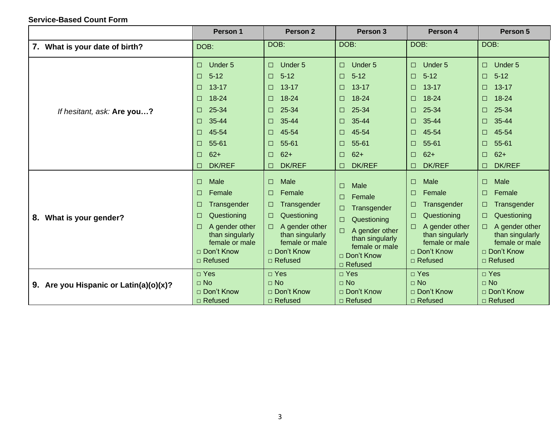|                                        | Person 1                                                                                                                                                                                | Person <sub>2</sub>                                                                                                                                                                                             | Person 3                                                                                                                                                                                          | Person 4                                                                                                                                                                                                    | Person 5                                                                                                                                                                                |
|----------------------------------------|-----------------------------------------------------------------------------------------------------------------------------------------------------------------------------------------|-----------------------------------------------------------------------------------------------------------------------------------------------------------------------------------------------------------------|---------------------------------------------------------------------------------------------------------------------------------------------------------------------------------------------------|-------------------------------------------------------------------------------------------------------------------------------------------------------------------------------------------------------------|-----------------------------------------------------------------------------------------------------------------------------------------------------------------------------------------|
| 7. What is your date of birth?         | DOB:                                                                                                                                                                                    | DOB:                                                                                                                                                                                                            | DOB:                                                                                                                                                                                              | DOB:                                                                                                                                                                                                        | DOB:                                                                                                                                                                                    |
| If hesitant, ask: Are you?             | Under 5<br>$\Box$<br>$5 - 12$<br>$\Box$<br>$13 - 17$<br>$\Box$<br>18-24<br>$\Box$<br>25-34<br>□<br>35-44<br>$\Box$<br>45-54<br>$\Box$<br>55-61<br>□<br>$62+$<br>$\Box$<br>DK/REF<br>□   | Under <sub>5</sub><br>$\Box$<br>$5 - 12$<br>$\Box$<br>$13 - 17$<br>$\Box$<br>18-24<br>$\Box$<br>25-34<br>$\Box$<br>35-44<br>$\Box$<br>45-54<br>$\Box$<br>55-61<br>$\Box$<br>$62+$<br>$\Box$<br>DK/REF<br>$\Box$ | Under 5<br>$\Box$<br>$5 - 12$<br>$\Box$<br>$13 - 17$<br>$\Box$<br>18-24<br>$\Box$<br>25-34<br>$\Box$<br>35-44<br>$\Box$<br>45-54<br>$\Box$<br>55-61<br>⊓<br>$62+$<br>$\Box$<br><b>DK/REF</b><br>□ | Under 5<br>$\Box$<br>$5 - 12$<br>$\Box$<br>$13 - 17$<br>$\Box$<br>18-24<br>$\Box$<br>25-34<br>$\Box$<br>35-44<br>$\Box$<br>45-54<br>$\Box$<br>55-61<br>$\Box$<br>$62+$<br>$\Box$<br><b>DK/REF</b><br>$\Box$ | Under 5<br>$\Box$<br>$5 - 12$<br>⊓<br>$13 - 17$<br>□<br>18-24<br>□<br>25-34<br>$\Box$<br>35-44<br>$\Box$<br>45-54<br>⊓<br>55-61<br>$\Box$<br>$62+$<br>$\Box$<br><b>DK/REF</b><br>$\Box$ |
| What is your gender?<br>8.             | Male<br>$\Box$<br>$\Box$<br>Female<br>Transgender<br>$\Box$<br>Questioning<br>$\Box$<br>A gender other<br>$\Box$<br>than singularly<br>female or male<br>□ Don't Know<br>$\Box$ Refused | Male<br>$\Box$<br>$\Box$<br>Female<br>Transgender<br>$\Box$<br>Questioning<br>$\Box$<br>A gender other<br>$\Box$<br>than singularly<br>female or male<br>□ Don't Know<br>$\Box$ Refused                         | <b>Male</b><br>$\Box$<br>Female<br>□<br>Transgender<br>О<br>Questioning<br>$\Box$<br>A gender other<br>ш<br>than singularly<br>female or male<br>□ Don't Know<br>$\Box$ Refused                   | Male<br>□<br>Female<br>□<br>Transgender<br>Questioning<br>□<br>A gender other<br>than singularly<br>female or male<br>□ Don't Know<br>□ Refused                                                             | Male<br>$\Box$<br>Female<br>Transgender<br>Questioning<br>$\Box$<br>A gender other<br>than singularly<br>female or male<br>□ Don't Know<br>□ Refused                                    |
| 9. Are you Hispanic or Latin(a)(o)(x)? | $\square$ Yes<br>$\Box$ No<br>□ Don't Know<br>□ Refused                                                                                                                                 | $\Box$ Yes<br>$\Box$ No<br>□ Don't Know<br>$\Box$ Refused                                                                                                                                                       | $\Box$ Yes<br>$\Box$ No<br>□ Don't Know<br>$\Box$ Refused                                                                                                                                         | $\Box$ Yes<br>$\Box$ No<br>□ Don't Know<br>$\Box$ Refused                                                                                                                                                   | $\square$ Yes<br>$\Box$ No<br>□ Don't Know<br>□ Refused                                                                                                                                 |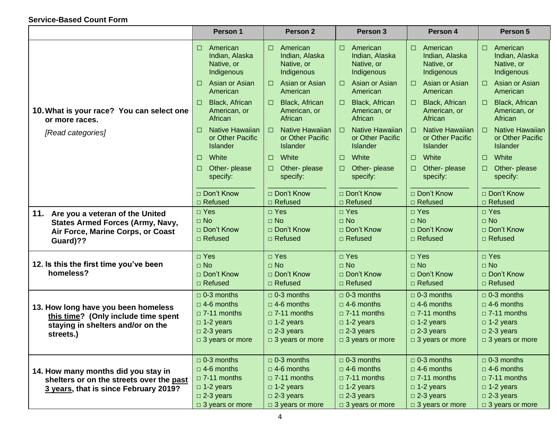|                                                                                 | Person 1                                                         | Person <sub>2</sub>                                              | Person 3                                                                | Person 4                                                                | Person 5                                                         |
|---------------------------------------------------------------------------------|------------------------------------------------------------------|------------------------------------------------------------------|-------------------------------------------------------------------------|-------------------------------------------------------------------------|------------------------------------------------------------------|
|                                                                                 | American<br>$\Box$<br>Indian, Alaska<br>Native, or<br>Indigenous | $\Box$ American<br>Indian, Alaska<br>Native, or<br>Indigenous    | American<br>$\Box$<br>Indian, Alaska<br>Native, or<br>Indigenous        | $\Box$<br>American<br>Indian, Alaska<br>Native, or<br>Indigenous        | American<br>□<br>Indian, Alaska<br>Native, or<br>Indigenous      |
|                                                                                 | Asian or Asian<br>□<br>American                                  | Asian or Asian<br>$\Box$<br>American                             | Asian or Asian<br>$\Box$<br>American                                    | Asian or Asian<br>$\Box$<br>American                                    | Asian or Asian<br>□<br>American                                  |
| 10. What is your race? You can select one<br>or more races.                     | Black, African<br>$\Box$<br>American, or<br>African              | Black, African<br>$\Box$<br>American, or<br>African              | Black, African<br>$\Box$<br>American, or<br>African                     | Black, African<br>$\Box$<br>American, or<br>African                     | Black, African<br>□<br>American, or<br>African                   |
| [Read categories]                                                               | <b>Native Hawaiian</b><br>$\Box$<br>or Other Pacific<br>Islander | <b>Native Hawaiian</b><br>$\Box$<br>or Other Pacific<br>Islander | <b>Native Hawaiian</b><br>$\Box$<br>or Other Pacific<br><b>Islander</b> | <b>Native Hawaiian</b><br>$\Box$<br>or Other Pacific<br><b>Islander</b> | Native Hawaiian<br>$\Box$<br>or Other Pacific<br><b>Islander</b> |
|                                                                                 | White<br>$\Box$                                                  | White<br>$\Box$                                                  | White<br>$\Box$                                                         | White<br>$\Box$                                                         | White<br>$\Box$                                                  |
|                                                                                 | Other-please<br>□<br>specify:                                    | Other- please<br>$\Box$<br>specify:                              | Other- please<br>$\Box$<br>specify:                                     | Other-please<br>$\Box$<br>specify:                                      | Other- please<br>□<br>specify:                                   |
|                                                                                 | □ Don't Know                                                     | □ Don't Know                                                     | □ Don't Know                                                            | □ Don't Know                                                            | □ Don't Know                                                     |
|                                                                                 | □ Refused                                                        | $\Box$ Refused                                                   | □ Refused                                                               | □ Refused                                                               | □ Refused                                                        |
| 11. Are you a veteran of the United                                             | □ Yes                                                            | $\square$ Yes                                                    | $\square$ Yes                                                           | $\square$ Yes                                                           | $\square$ Yes                                                    |
| <b>States Armed Forces (Army, Navy,</b>                                         | $\Box$ No                                                        | $\Box$ No                                                        | $\Box$ No                                                               | $\Box$ No                                                               | $\Box$ No                                                        |
| Air Force, Marine Corps, or Coast                                               | □ Don't Know                                                     | □ Don't Know                                                     | □ Don't Know                                                            | □ Don't Know                                                            | □ Don't Know                                                     |
| Guard)??                                                                        | $\Box$ Refused                                                   | $\Box$ Refused                                                   | $\Box$ Refused                                                          | $\Box$ Refused                                                          | $\Box$ Refused                                                   |
|                                                                                 | □ Yes                                                            | □ Yes                                                            | $\square$ Yes                                                           | $\square$ Yes                                                           | $\square$ Yes                                                    |
| 12. Is this the first time you've been                                          | $\Box$ No                                                        | $\Box$ No                                                        | $\Box$ No                                                               | $\Box$ No                                                               | $\Box$ No                                                        |
| homeless?                                                                       | □ Don't Know                                                     | □ Don't Know                                                     | □ Don't Know                                                            | □ Don't Know                                                            | □ Don't Know                                                     |
|                                                                                 | □ Refused                                                        | $\Box$ Refused                                                   | $\Box$ Refused                                                          | $\Box$ Refused                                                          | $\Box$ Refused                                                   |
|                                                                                 | $\Box$ 0-3 months                                                | $\Box$ 0-3 months                                                | $\Box$ 0-3 months                                                       | $\Box$ 0-3 months                                                       | $\Box$ 0-3 months                                                |
| 13. How long have you been homeless                                             | $\Box$ 4-6 months                                                | $\Box$ 4-6 months                                                | $\Box$ 4-6 months                                                       | $\Box$ 4-6 months                                                       | $\Box$ 4-6 months                                                |
| this time? (Only include time spent                                             | $\Box$ 7-11 months                                               | $\Box$ 7-11 months                                               | $\Box$ 7-11 months                                                      | $\Box$ 7-11 months                                                      | $\Box$ 7-11 months                                               |
| staying in shelters and/or on the                                               | $\Box$ 1-2 years                                                 | $\Box$ 1-2 years                                                 | $\Box$ 1-2 years                                                        | $\Box$ 1-2 years                                                        | $\Box$ 1-2 years                                                 |
| streets.)                                                                       | $\square$ 2-3 years                                              | $\square$ 2-3 years                                              | $\Box$ 2-3 years                                                        | $\Box$ 2-3 years                                                        | $\Box$ 2-3 years                                                 |
|                                                                                 | $\Box$ 3 years or more                                           | □ 3 years or more                                                | $\Box$ 3 years or more                                                  | $\Box$ 3 years or more                                                  | □ 3 years or more                                                |
|                                                                                 | $\Box$ 0-3 months                                                | $\Box$ 0-3 months                                                | $\Box$ 0-3 months                                                       | $\Box$ 0-3 months                                                       | $\Box$ 0-3 months                                                |
|                                                                                 | $\Box$ 4-6 months                                                | $\Box$ 4-6 months                                                | $\Box$ 4-6 months                                                       | $\Box$ 4-6 months                                                       | $\Box$ 4-6 months                                                |
| 14. How many months did you stay in<br>shelters or on the streets over the past | $\Box$ 7-11 months                                               | $\Box$ 7-11 months                                               | $\Box$ 7-11 months                                                      | $\Box$ 7-11 months                                                      | $\square$ 7-11 months                                            |
| 3 years, that is since February 2019?                                           | $\Box$ 1-2 years                                                 | $\Box$ 1-2 years                                                 | $\Box$ 1-2 years                                                        | $\Box$ 1-2 years                                                        | $\Box$ 1-2 years                                                 |
|                                                                                 | $\square$ 2-3 years                                              | $\Box$ 2-3 years                                                 | $\square$ 2-3 years                                                     | $\square$ 2-3 years                                                     | $\square$ 2-3 years                                              |
|                                                                                 | □ 3 years or more                                                | $\Box$ 3 years or more                                           | □ 3 years or more                                                       | □ 3 years or more                                                       | □ 3 years or more                                                |